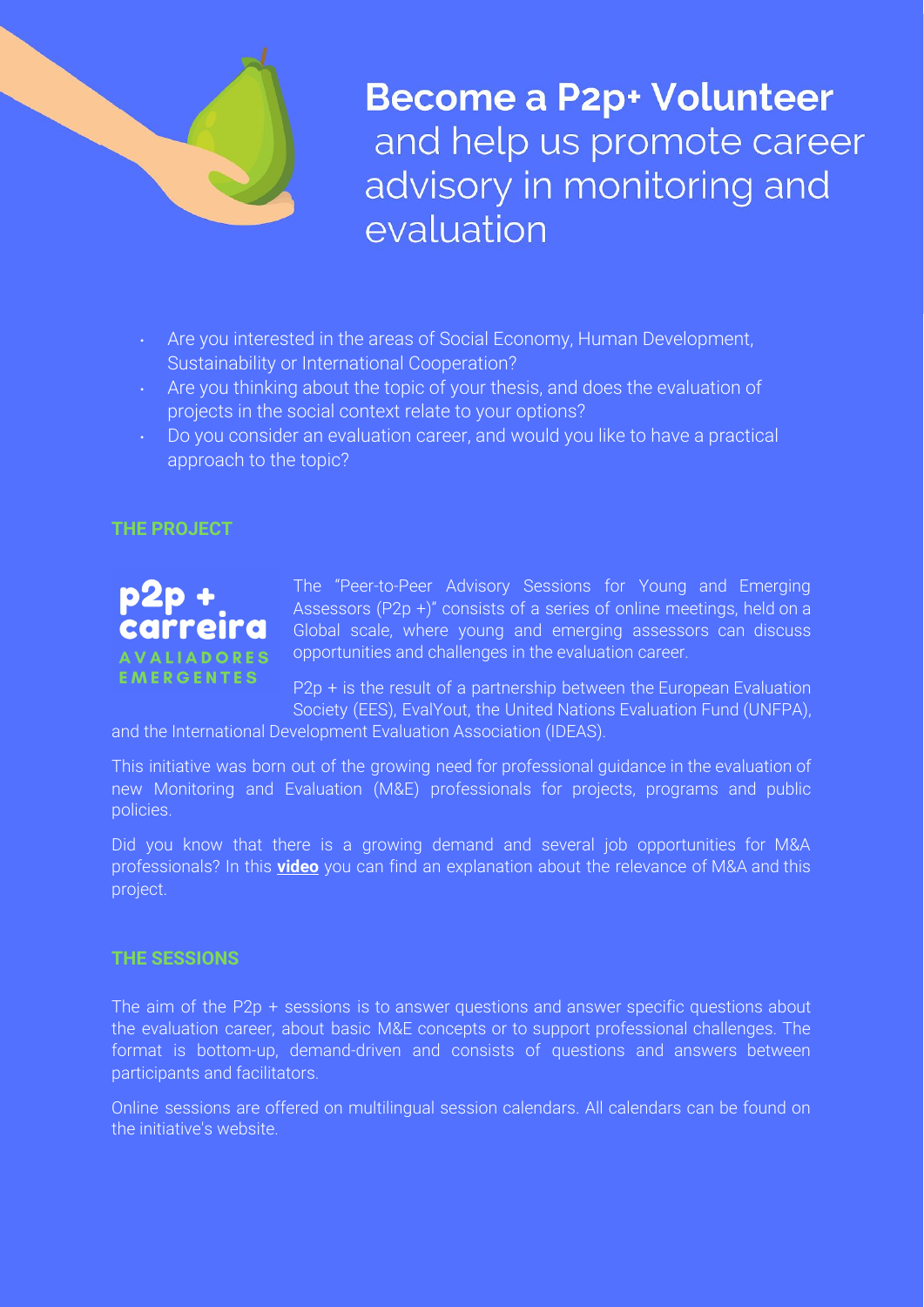

**Become a P2p+ Volunteer** and help us promote career advisory in monitoring and evaluation

- Are you interested in the areas of Social Economy, Human Development, Sustainability or International Cooperation?
- . Are you thinking about the topic of your thesis, and does the evaluation of projects in the social context relate to your options?
- Do you consider an evaluation career, and would you like to have a practical approach to the topic?

## **THE PROJECT**



The "Peer-to-Peer Advisory Sessions for Young and Emerging Assessors (P2p +)" consists of a series of online meetings, held on a Global scale, where young and emerging assessors can discuss opportunities and challenges in the evaluation career.

P2p + is the result of a partnership between the European Evaluation Society (EES), EvalYout, the United Nations Evaluation Fund (UNFPA),

and the International Development Evaluation Association (IDEAS).

This initiative was born out of the growing need for professional guidance in the evaluation of new Monitoring and Evaluation (M&E) professionals for projects, programs and public policies.

Did you know that there is a growing demand and several job opportunities for M&A professionals? In this **[video](https://www.linkedin.com/posts/mbsocialvalue_portugueselanguage-spanishlanguage-frenchlanguage-activity-6704037584215126016-9xuE)** you can find an explanation about the relevance of M&A and this project.

## **THE SESSIONS**

The aim of the P2p + sessions is to answer questions and answer specific questions about the evaluation career, about basic M&E concepts or to support professional challenges. The format is bottom-up, demand-driven and consists of questions and answers between participants and facilitators.

Online sessions are offered on multilingual session calendars. All calendars can be found on the initiative's website.